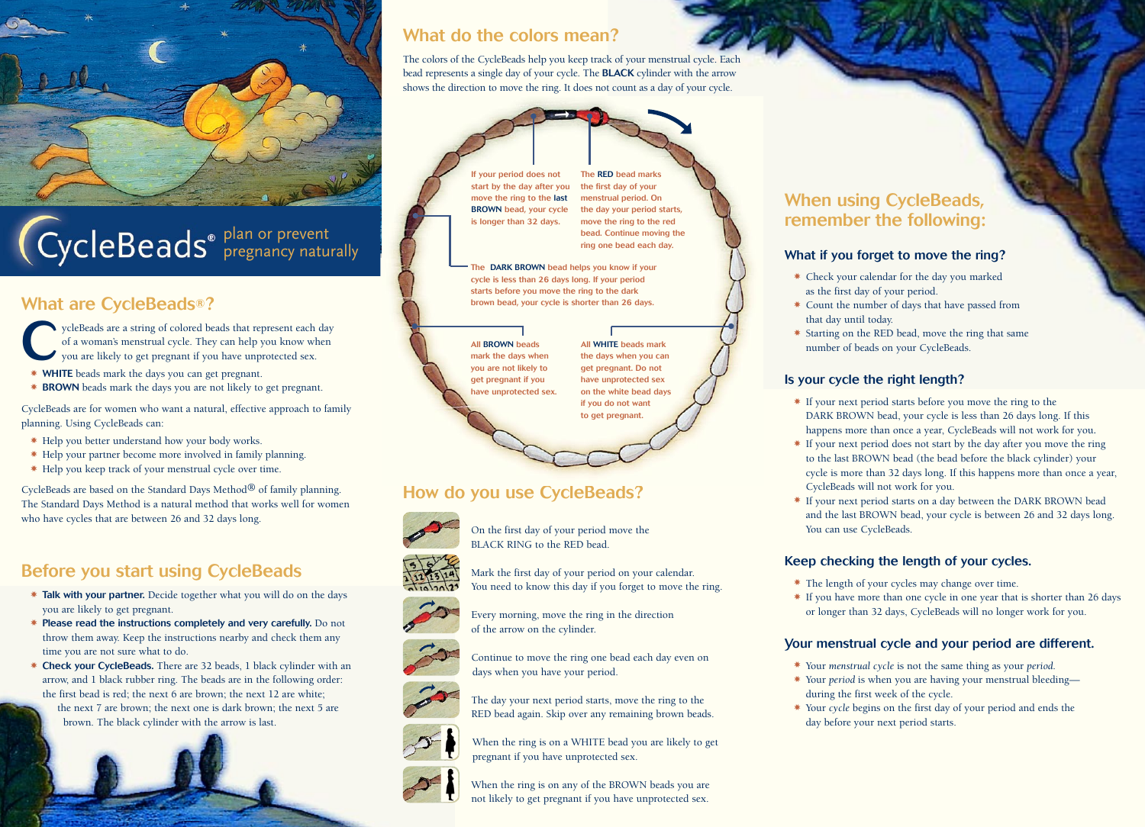

# plan or prevent pregnancy naturally

# What are CycleBeads**®**?

ycleBeads are a string of colored beads that represent each day of a woman's menstrual cycle. They can help you know when you are likely to get pregnant if you have unprotected sex. of a woman's menstrual cycle. They can help you know when

- ✸ WHITE beads mark the days you can get pregnant.
- ✸ BROWN beads mark the days you are not likely to get pregnant.

CycleBeads are for women who want a natural, effective approach to family planning. Using CycleBeads can:

- ✸ Help you better understand how your body works.
- ✸ Help your partner become more involved in family planning.
- ✸ Help you keep track of your menstrual cycle over time.

CycleBeads are based on the Standard Days Method® of family planning. The Standard Days Method is a natural method that works well for women who have cycles that are between 26 and 32 days long.

# Before you start using CycleBeads

- ✸ Talk with your partner. Decide together what you will do on the days you are likely to get pregnant.
- ✸ Please read the instructions completely and very carefully. Do not throw them away. Keep the instructions nearby and check them any time you are not sure what to do.
- ✸ Check your CycleBeads. There are 32 beads, 1 black cylinder with an arrow, and 1 black rubber ring. The beads are in the following order: the first bead is red; the next 6 are brown; the next 12 are white;
	- the next 7 are brown; the next one is dark brown; the next 5 are brown. The black cylinder with the arrow is last.



# What do the colors mean?

The colors of the CycleBeads help you keep track of your menstrual cycle. Each bead represents a single day of your cycle. The BLACK cylinder with the arrow shows the direction to move the ring. It does not count as a day of your cycle.



The RED bead marks the first day of your menstrual period. On the day your period starts, move the ring to the red bead. Continue moving the ring one bead each day.

The DARK BROWN bead helps you know if your cycle is less than 26 days long. If your period starts before you move the ring to the dark brown bead, your cycle is shorter than 26 days.

All BROWN beads mark the days when you are not likely to get pregnant if you have unprotected sex.

All WHITE beads mark the days when you can get pregnant. Do not have unprotected sex on the white bead days if you do not want to get pregnant.

# How do you use CycleBeads?



On the first day of your period move the BLACK RING to the RED bead.









The day your next period starts, move the ring to the RED bead again. Skip over any remaining brown beads.

When the ring is on a WHITE bead you are likely to get pregnant if you have unprotected sex.

When the ring is on any of the BROWN beads you are not likely to get pregnant if you have unprotected sex.

# When using CycleBeads, remember the following:

#### What if you forget to move the ring?

- ✸ Check your calendar for the day you marked as the first day of your period.
- ✸ Count the number of days that have passed from that day until today.
- ✸ Starting on the RED bead, move the ring that same number of beads on your CycleBeads.

#### Is your cycle the right length?

- ✸ If your next period starts before you move the ring to the DARK BROWN bead, your cycle is less than 26 days long. If this happens more than once a year, CycleBeads will not work for you.
- ✸ If your next period does not start by the day after you move the ring to the last BROWN bead (the bead before the black cylinder) your cycle is more than 32 days long. If this happens more than once a year, CycleBeads will not work for you.
- ✸ If your next period starts on a day between the DARK BROWN bead and the last BROWN bead, your cycle is between 26 and 32 days long. You can use CycleBeads.

## Keep checking the length of your cycles.

- ✸ The length of your cycles may change over time.
- ✸ If you have more than one cycle in one year that is shorter than 26 days or longer than 32 days, CycleBeads will no longer work for you.

## Your menstrual cycle and your period are different.

- ✸ Your *menstrual cycle* is not the same thing as your *period*.
- ✸ Your *period* is when you are having your menstrual bleeding during the first week of the cycle.
- ✸ Your *cycle* begins on the first day of your period and ends the day before your next period starts.



Mark the first day of your period on your calendar. You need to know this day if you forget to move the ring.